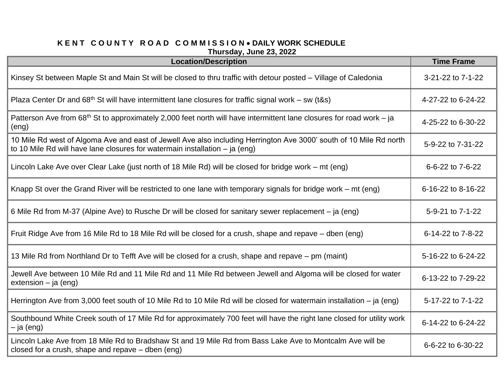## **K E N T C O U N T Y R O A D C O M M I S S I O N** • **DAILY WORK SCHEDULE Thursday, June 23, 2022**

| $111U1$ JUAY, UUIIG LJ, LULL<br><b>Location/Description</b>                                                                                                                                         | <b>Time Frame</b>  |
|-----------------------------------------------------------------------------------------------------------------------------------------------------------------------------------------------------|--------------------|
| Kinsey St between Maple St and Main St will be closed to thru traffic with detour posted – Village of Caledonia                                                                                     | 3-21-22 to 7-1-22  |
| Plaza Center Dr and $68th$ St will have intermittent lane closures for traffic signal work – sw (t&s)                                                                                               | 4-27-22 to 6-24-22 |
| Patterson Ave from 68 <sup>th</sup> St to approximately 2,000 feet north will have intermittent lane closures for road work – ja<br>(eng)                                                           | 4-25-22 to 6-30-22 |
| 10 Mile Rd west of Algoma Ave and east of Jewell Ave also including Herrington Ave 3000' south of 10 Mile Rd north<br>to 10 Mile Rd will have lane closures for watermain installation $-$ ja (eng) | 5-9-22 to 7-31-22  |
| Lincoln Lake Ave over Clear Lake (just north of 18 Mile Rd) will be closed for bridge work – mt (eng)                                                                                               | 6-6-22 to 7-6-22   |
| Knapp St over the Grand River will be restricted to one lane with temporary signals for bridge work – mt (eng)                                                                                      | 6-16-22 to 8-16-22 |
| 6 Mile Rd from M-37 (Alpine Ave) to Rusche Dr will be closed for sanitary sewer replacement – ja (eng)                                                                                              | 5-9-21 to 7-1-22   |
| Fruit Ridge Ave from 16 Mile Rd to 18 Mile Rd will be closed for a crush, shape and repave – dben (eng)                                                                                             | 6-14-22 to 7-8-22  |
| 13 Mile Rd from Northland Dr to Tefft Ave will be closed for a crush, shape and repave – pm (maint)                                                                                                 | 5-16-22 to 6-24-22 |
| Jewell Ave between 10 Mile Rd and 11 Mile Rd and 11 Mile Rd between Jewell and Algoma will be closed for water<br>extension $-$ ja (eng)                                                            | 6-13-22 to 7-29-22 |
| Herrington Ave from 3,000 feet south of 10 Mile Rd to 10 Mile Rd will be closed for watermain installation – ja (eng)                                                                               | 5-17-22 to 7-1-22  |
| Southbound White Creek south of 17 Mile Rd for approximately 700 feet will have the right lane closed for utility work<br>$-$ ja (eng)                                                              | 6-14-22 to 6-24-22 |
| Lincoln Lake Ave from 18 Mile Rd to Bradshaw St and 19 Mile Rd from Bass Lake Ave to Montcalm Ave will be<br>closed for a crush, shape and repave $-$ dben (eng)                                    | 6-6-22 to 6-30-22  |